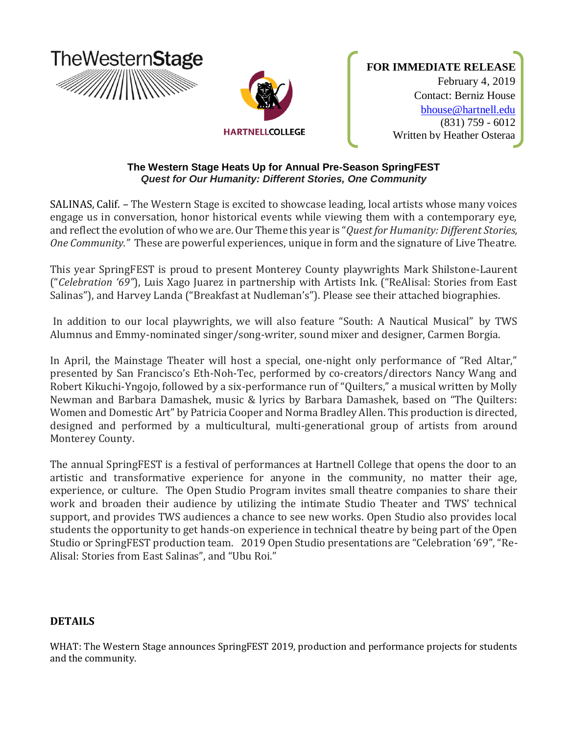

#### **The Western Stage Heats Up for Annual Pre-Season SpringFEST** *Quest for Our Humanity: Different Stories, One Community*

SALINAS, Calif. – The Western Stage is excited to showcase leading, local artists whose many voices engage us in conversation, honor historical events while viewing them with a contemporary eye, and reflect the evolution of who we are. Our Theme this year is "*Quest for Humanity: Different Stories, One Community."* These are powerful experiences, unique in form and the signature of Live Theatre.

This year SpringFEST is proud to present Monterey County playwrights Mark Shilstone-Laurent ("*Celebration '69"*), Luis Xago Juarez in partnership with Artists Ink. ("ReAlisal: Stories from East Salinas"), and Harvey Landa ("Breakfast at Nudleman's"). Please see their attached biographies.

In addition to our local playwrights, we will also feature "South: A Nautical Musical" by TWS Alumnus and Emmy-nominated singer/song-writer, sound mixer and designer, Carmen Borgia.

In April, the Mainstage Theater will host a special, one-night only performance of "Red Altar," presented by San Francisco's Eth-Noh-Tec, performed by co-creators/directors Nancy Wang and Robert Kikuchi-Yngojo, followed by a six-performance run of "Quilters," a musical written by Molly Newman and Barbara Damashek, music & lyrics by Barbara Damashek, based on "The Quilters: Women and Domestic Art" by Patricia Cooper and Norma Bradley Allen. This production is directed, designed and performed by a multicultural, multi-generational group of artists from around Monterey County.

The annual SpringFEST is a festival of performances at Hartnell College that opens the door to an artistic and transformative experience for anyone in the community, no matter their age, experience, or culture. The Open Studio Program invites small theatre companies to share their work and broaden their audience by utilizing the intimate Studio Theater and TWS' technical support, and provides TWS audiences a chance to see new works. Open Studio also provides local students the opportunity to get hands-on experience in technical theatre by being part of the Open Studio or SpringFEST production team. 2019 Open Studio presentations are "Celebration '69", "Re-Alisal: Stories from East Salinas", and "Ubu Roi."

### **DETAILS**

WHAT: The Western Stage announces SpringFEST 2019, production and performance projects for students and the community.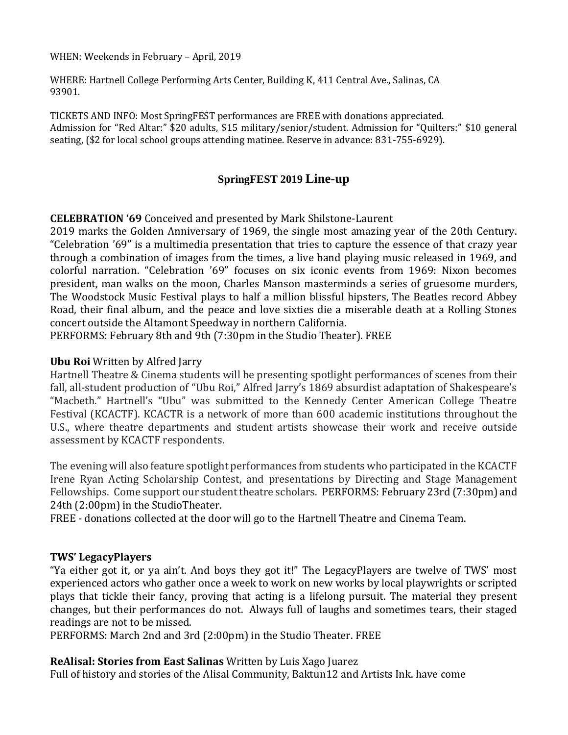WHEN: Weekends in February – April, 2019

WHERE: Hartnell College Performing Arts Center, Building K, 411 Central Ave., Salinas, CA 93901.

TICKETS AND INFO: Most SpringFEST performances are FREE with donations appreciated. Admission for "Red Altar:" \$20 adults, \$15 military/senior/student. Admission for "Quilters:" \$10 general seating, (\$2 for local school groups attending matinee. Reserve in advance: 831-755-6929).

### **SpringFEST 2019 Line-up**

**CELEBRATION '69** Conceived and presented by Mark Shilstone-Laurent

2019 marks the Golden Anniversary of 1969, the single most amazing year of the 20th Century. "Celebration '69" is a multimedia presentation that tries to capture the essence of that crazy year through a combination of images from the times, a live band playing music released in 1969, and colorful narration. "Celebration '69" focuses on six iconic events from 1969: Nixon becomes president, man walks on the moon, Charles Manson masterminds a series of gruesome murders, The Woodstock Music Festival plays to half a million blissful hipsters, The Beatles record Abbey Road, their final album, and the peace and love sixties die a miserable death at a Rolling Stones concert outside the Altamont Speedway in northern California.

PERFORMS: February 8th and 9th (7:30pm in the Studio Theater). FREE

### **Ubu Roi** Written by Alfred Jarry

Hartnell Theatre & Cinema students will be presenting spotlight performances of scenes from their fall, all-student production of "Ubu Roi," Alfred Jarry's 1869 absurdist adaptation of Shakespeare's "Macbeth." Hartnell's "Ubu" was submitted to the Kennedy Center American College Theatre Festival (KCACTF). KCACTR is a network of more than 600 academic institutions throughout the U.S., where theatre departments and student artists showcase their work and receive outside assessment by KCACTF respondents.

The evening will also feature spotlight performances from students who participated in the KCACTF Irene Ryan Acting Scholarship Contest, and presentations by Directing and Stage Management Fellowships. Come support our student theatre scholars. PERFORMS: February 23rd (7:30pm) and 24th (2:00pm) in the StudioTheater.

FREE - donations collected at the door will go to the Hartnell Theatre and Cinema Team.

#### **TWS' LegacyPlayers**

"Ya either got it, or ya ain't. And boys they got it!" The LegacyPlayers are twelve of TWS' most experienced actors who gather once a week to work on new works by local playwrights or scripted plays that tickle their fancy, proving that acting is a lifelong pursuit. The material they present changes, but their performances do not. Always full of laughs and sometimes tears, their staged readings are not to be missed.

PERFORMS: March 2nd and 3rd (2:00pm) in the Studio Theater. FREE

**ReAlisal: Stories from East Salinas** Written by Luis Xago Juarez

Full of history and stories of the Alisal Community, Baktun12 and Artists Ink. have come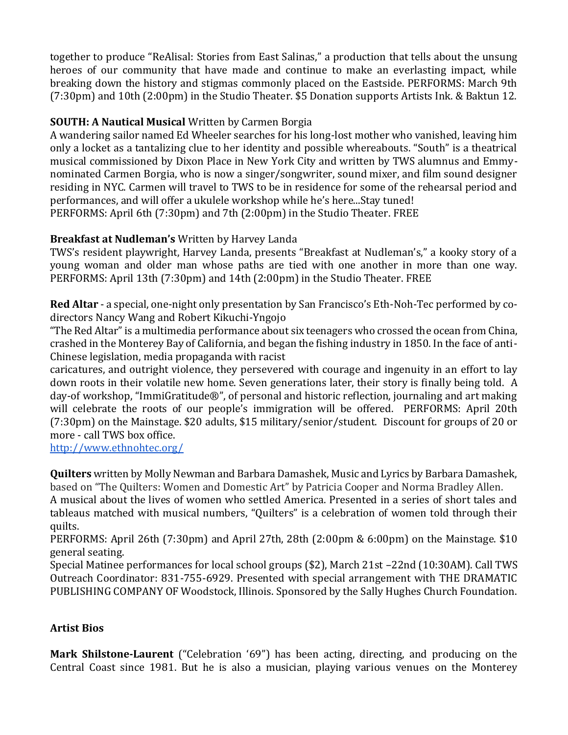together to produce "ReAlisal: Stories from East Salinas," a production that tells about the unsung heroes of our community that have made and continue to make an everlasting impact, while breaking down the history and stigmas commonly placed on the Eastside. PERFORMS: March 9th (7:30pm) and 10th (2:00pm) in the Studio Theater. \$5 Donation supports Artists Ink. & Baktun 12.

# **SOUTH: A Nautical Musical** Written by Carmen Borgia

A wandering sailor named Ed Wheeler searches for his long-lost mother who vanished, leaving him only a locket as a tantalizing clue to her identity and possible whereabouts. "South" is a theatrical musical commissioned by Dixon Place in New York City and written by TWS alumnus and Emmynominated Carmen Borgia, who is now a singer/songwriter, sound mixer, and film sound designer residing in NYC. Carmen will travel to TWS to be in residence for some of the rehearsal period and performances, and will offer a ukulele workshop while he's here...Stay tuned! PERFORMS: April 6th (7:30pm) and 7th (2:00pm) in the Studio Theater. FREE

# **Breakfast at Nudleman's** Written by Harvey Landa

TWS's resident playwright, Harvey Landa, presents "Breakfast at Nudleman's," a kooky story of a young woman and older man whose paths are tied with one another in more than one way. PERFORMS: April 13th (7:30pm) and 14th (2:00pm) in the Studio Theater. FREE

**Red Altar** - a special, one-night only presentation by San Francisco's Eth-Noh-Tec performed by codirectors Nancy Wang and Robert Kikuchi-Yngojo

"The Red Altar" is a multimedia performance about six teenagers who crossed the ocean from China, crashed in the Monterey Bay of California, and began the fishing industry in 1850. In the face of anti-Chinese legislation, media propaganda with racist

caricatures, and outright violence, they persevered with courage and ingenuity in an effort to lay down roots in their volatile new home. Seven generations later, their story is finally being told. A day-of workshop, "ImmiGratitude®", of personal and historic reflection, journaling and art making will celebrate the roots of our people's immigration will be offered. PERFORMS: April 20th (7:30pm) on the Mainstage. \$20 adults, \$15 military/senior/student. Discount for groups of 20 or more - call TWS box office.

<http://www.ethnohtec.org/>

**Quilters** written by Molly Newman and Barbara Damashek, Music and Lyrics by Barbara Damashek, based on "The Quilters: Women and Domestic Art" by Patricia Cooper and Norma Bradley Allen.

A musical about the lives of women who settled America. Presented in a series of short tales and tableaus matched with musical numbers, "Quilters" is a celebration of women told through their quilts.

PERFORMS: April 26th (7:30pm) and April 27th, 28th (2:00pm & 6:00pm) on the Mainstage. \$10 general seating.

Special Matinee performances for local school groups (\$2), March 21st –22nd (10:30AM). Call TWS Outreach Coordinator: 831-755-6929. Presented with special arrangement with THE DRAMATIC PUBLISHING COMPANY OF Woodstock, Illinois. Sponsored by the Sally Hughes Church Foundation.

## **Artist Bios**

**Mark Shilstone-Laurent** ("Celebration '69") has been acting, directing, and producing on the Central Coast since 1981. But he is also a musician, playing various venues on the Monterey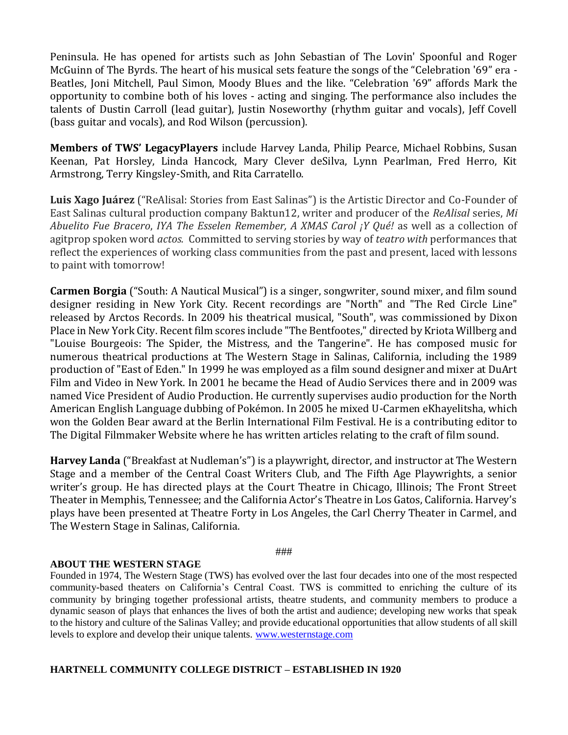Peninsula. He has opened for artists such as John Sebastian of The Lovin' Spoonful and Roger McGuinn of The Byrds. The heart of his musical sets feature the songs of the "Celebration '69" era - Beatles, Joni Mitchell, Paul Simon, Moody Blues and the like. "Celebration '69" affords Mark the opportunity to combine both of his loves - acting and singing. The performance also includes the talents of Dustin Carroll (lead guitar), Justin Noseworthy (rhythm guitar and vocals), Jeff Covell (bass guitar and vocals), and Rod Wilson (percussion).

**Members of TWS' LegacyPlayers** include Harvey Landa, Philip Pearce, Michael Robbins, Susan Keenan, Pat Horsley, Linda Hancock, Mary Clever deSilva, Lynn Pearlman, Fred Herro, Kit Armstrong, Terry Kingsley-Smith, and Rita Carratello.

**Luis Xago Juárez** ("ReAlisal: Stories from East Salinas") is the Artistic Director and Co-Founder of East Salinas cultural production company Baktun12, writer and producer of the *ReAlisal* series, *Mi Abuelito Fue Bracero*, *IYA The Esselen Remember, A XMAS Carol ¡Y Qué!* as well as a collection of agitprop spoken word *actos.* Committed to serving stories by way of *teatro with* performances that reflect the experiences of working class communities from the past and present, laced with lessons to paint with tomorrow!

**Carmen Borgia** ("South: A Nautical Musical") is a singer, songwriter, sound mixer, and film sound designer residing in New York City. Recent recordings are "North" and "The Red Circle Line" released by Arctos Records. In 2009 his theatrical musical, "South", was commissioned by Dixon Place in New York City. Recent film scores include "The Bentfootes," directed by Kriota Willberg and "Louise Bourgeois: The Spider, the Mistress, and the Tangerine". He has composed music for numerous theatrical productions at The Western Stage in Salinas, California, including the 1989 production of "East of Eden." In 1999 he was employed as a film sound designer and mixer at DuArt Film and Video in New York. In 2001 he became the Head of Audio Services there and in 2009 was named Vice President of Audio Production. He currently supervises audio production for the North American English Language dubbing of Pokémon. In 2005 he mixed U-Carmen eKhayelitsha, which won the Golden Bear award at the Berlin International Film Festival. He is a contributing editor to The Digital Filmmaker Website where he has written articles relating to the craft of film sound.

**Harvey Landa** ("Breakfast at Nudleman's") is a playwright, director, and instructor at The Western Stage and a member of the Central Coast Writers Club, and The Fifth Age Playwrights, a senior writer's group. He has directed plays at the Court Theatre in Chicago, Illinois; The Front Street Theater in Memphis, Tennessee; and the California Actor's Theatre in Los Gatos, California. Harvey's plays have been presented at Theatre Forty in Los Angeles, the Carl Cherry Theater in Carmel, and The Western Stage in Salinas, California.

###

#### **ABOUT THE WESTERN STAGE**

Founded in 1974, The Western Stage (TWS) has evolved over the last four decades into one of the most respected community-based theaters on California's Central Coast. TWS is committed to enriching the culture of its community by bringing together professional artists, theatre students, and community members to produce a dynamic season of plays that enhances the lives of both the artist and audience; developing new works that speak to the history and culture of the Salinas Valley; and provide educational opportunities that allow students of all skill levels to explore and develop their unique talents. [www.westernstage.com](file://///FolderRedirect.hcad.domain/Redirect/0003499/Desktop/Docs%20under%20review/www.westernstage.com)

#### **HARTNELL COMMUNITY COLLEGE DISTRICT – ESTABLISHED IN 1920**